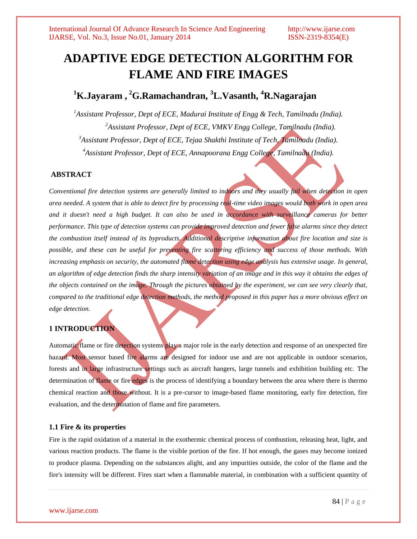# **ADAPTIVE EDGE DETECTION ALGORITHM FOR FLAME AND FIRE IMAGES**

## **<sup>1</sup>K.Jayaram , <sup>2</sup>G.Ramachandran, <sup>3</sup>L.Vasanth, <sup>4</sup>R.Nagarajan**

*Assistant Professor, Dept of ECE, Madurai Institute of Engg & Tech, Tamilnadu (India). Assistant Professor, Dept of ECE, VMKV Engg College, Tamilnadu (India). Assistant Professor, Dept of ECE, Tejaa Shakthi Institute of Tech, Tamilnadu (India). Assistant Professor, Dept of ECE, Annapoorana Engg College, Tamilnadu (India).*

#### **ABSTRACT**

*Conventional fire detection systems are generally limited to indoors and they usually fail when detection in open area needed. A system that is able to detect fire by processing real-time video images would both work in open area and it doesn't need a high budget. It can also be used in accordance with surveillance cameras for better performance. This type of detection systems can provide improved detection and fewer false alarms since they detect the combustion itself instead of its byproducts. Additional descriptive information about fire location and size is possible, and these can be useful for preventing fire scattering efficiency and success of those methods. With increasing emphasis on security, the automated flame detection using edge analysis has extensive usage. In general, an algorithm of edge detection finds the sharp intensity variation of an image and in this way it obtains the edges of the objects contained on the image. Through the pictures obtained by the experiment, we can see very clearly that, compared to the traditional edge detection methods, the method proposed in this paper has a more obvious effect on edge detection.*

### **1 INTRODUCTION**

Automatic flame or fire detection systems play a major role in the early detection and response of an unexpected fire hazard. Most sensor based fire alarms are designed for indoor use and are not applicable in outdoor scenarios, forests and in large infrastructure settings such as aircraft hangers, large tunnels and exhibition building etc. The determination of flame or fire edges is the process of identifying a boundary between the area where there is thermo chemical reaction and those without. It is a pre-cursor to image-based flame monitoring, early fire detection, fire evaluation, and the determination of flame and fire parameters.

#### **1.1 Fire & its properties**

Fire is the rapid oxidation of a material in the exothermic chemical process of combustion, releasing heat, light, and various reaction products. The flame is the visible portion of the fire. If hot enough, the gases may become ionized to produce plasma. Depending on the substances alight, and any impurities outside, the color of the flame and the fire's intensity will be different. Fires start when a flammable material, in combination with a sufficient quantity of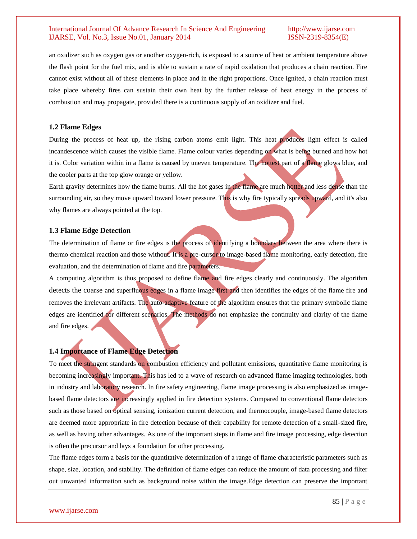an oxidizer such as oxygen gas or another oxygen-rich, is exposed to a source of heat or ambient temperature above the flash point for the fuel mix, and is able to sustain a rate of rapid oxidation that produces a chain reaction. Fire cannot exist without all of these elements in place and in the right proportions. Once ignited, a chain reaction must take place whereby fires can sustain their own heat by the further release of heat energy in the process of combustion and may propagate, provided there is a continuous supply of an oxidizer and fuel.

#### **1.2 Flame Edges**

During the process of heat up, the rising carbon atoms emit light. This heat produces light effect is called incandescence which causes the visible flame. Flame colour varies depending on what is being burned and how hot it is. Color variation within in a flame is caused by uneven temperature. The hottest part of a flame glows blue, and the cooler parts at the top glow orange or yellow.

Earth gravity determines how the flame burns. All the hot gases in the flame are much hotter and less dense than the surrounding air, so they move upward toward lower pressure. This is why fire typically spreads upward, and it's also why flames are always pointed at the top.

#### **1.3 Flame Edge Detection**

The determination of flame or fire edges is the process of identifying a boundary between the area where there is thermo chemical reaction and those without. It is a pre-cursor to image-based flame monitoring, early detection, fire evaluation, and the determination of flame and fire parameters.

A computing algorithm is thus proposed to define flame and fire edges clearly and continuously. The algorithm detects the coarse and superfluous edges in a flame image first and then identifies the edges of the flame fire and removes the irrelevant artifacts. The auto-adaptive feature of the algorithm ensures that the primary symbolic flame edges are identified for different scenarios. The methods do not emphasize the continuity and clarity of the flame and fire edges.

#### **1.4 Importance of Flame Edge Detection**

To meet the stringent standards on combustion efficiency and pollutant emissions, quantitative flame monitoring is becoming increasingly important. This has led to a wave of research on advanced flame imaging technologies, both in industry and laboratory research. In fire safety engineering, flame image processing is also emphasized as imagebased flame detectors are increasingly applied in fire detection systems. Compared to conventional flame detectors such as those based on optical sensing, ionization current detection, and thermocouple, image-based flame detectors are deemed more appropriate in fire detection because of their capability for remote detection of a small-sized fire, as well as having other advantages. As one of the important steps in flame and fire image processing, edge detection is often the precursor and lays a foundation for other processing.

The flame edges form a basis for the quantitative determination of a range of flame characteristic parameters such as shape, size, location, and stability. The definition of flame edges can reduce the amount of data processing and filter out unwanted information such as background noise within the image.Edge detection can preserve the important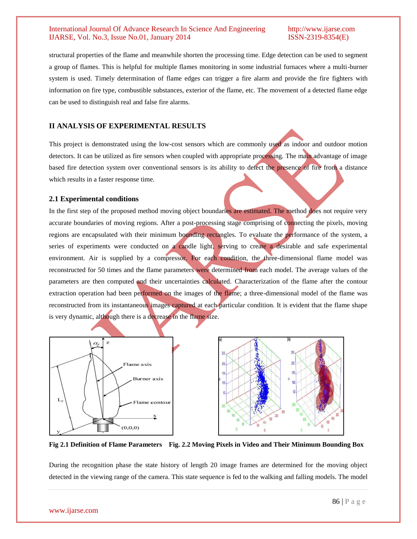structural properties of the flame and meanwhile shorten the processing time. Edge detection can be used to segment a group of flames. This is helpful for multiple flames monitoring in some industrial furnaces where a multi-burner system is used. Timely determination of flame edges can trigger a fire alarm and provide the fire fighters with information on fire type, combustible substances, exterior of the flame, etc. The movement of a detected flame edge can be used to distinguish real and false fire alarms.

### **II ANALYSIS OF EXPERIMENTAL RESULTS**

This project is demonstrated using the low-cost sensors which are commonly used as indoor and outdoor motion detectors. It can be utilized as fire sensors when coupled with appropriate processing. The main advantage of image based fire detection system over conventional sensors is its ability to detect the presence of fire from a distance which results in a faster response time.

#### **2.1 Experimental conditions**

In the first step of the proposed method moving object boundaries are estimated. The method does not require very accurate boundaries of moving regions. After a post-processing stage comprising of connecting the pixels, moving regions are encapsulated with their minimum bounding rectangles. To evaluate the performance of the system, a series of experiments were conducted on a candle light, serving to create a desirable and safe experimental environment. Air is supplied by a compressor. For each condition, the three-dimensional flame model was reconstructed for 50 times and the flame parameters were determined from each model. The average values of the parameters are then computed and their uncertainties calculated. Characterization of the flame after the contour extraction operation had been performed on the images of the flame; a three-dimensional model of the flame was reconstructed from its instantaneous images captured at each particular condition. It is evident that the flame shape is very dynamic, although there is a decrease in the flame size.



**Fig 2.1 Definition of Flame Parameters Fig. 2.2 Moving Pixels in Video and Their Minimum Bounding Box**

During the recognition phase the state history of length 20 image frames are determined for the moving object detected in the viewing range of the camera. This state sequence is fed to the walking and falling models. The model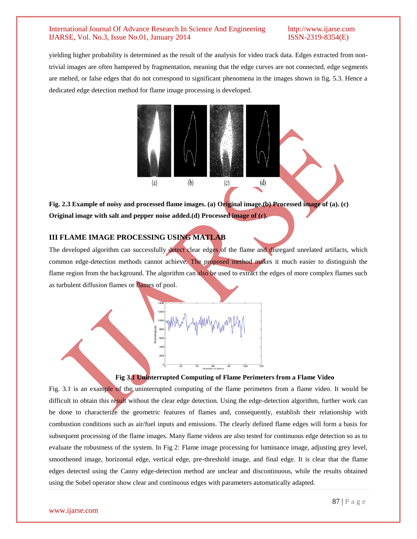yielding higher probability is determined as the result of the analysis for video track data. Edges extracted from nontrivial images are often hampered by fragmentation, meaning that the edge curves are not connected, edge segments are melted, or false edges that do not correspond to significant phenomena in the images shown in fig. 5.3. Hence a dedicated edge detection method for flame image processing is developed.



**Fig. 2.3 Example of noisy and processed flame images. (a) Original image.(b) Processed image of (a). (c) Original image with salt and pepper noise added.(d) Processed image of (c).**

### **III FLAME IMAGE PROCESSING USING MATLAB**

The developed algorithm can successfully detect clear edges of the flame and disregard unrelated artifacts, which common edge-detection methods cannot achieve. The proposed method makes it much easier to distinguish the flame region from the background. The algorithm can also be used to extract the edges of more complex flames such as turbulent diffusion flames or flames of pool.



#### **Fig 3.1 Uninterrupted Computing of Flame Perimeters from a Flame Video**

Fig. 3.1 is an example of the uninterrupted computing of the flame perimeters from a flame video. It would be difficult to obtain this result without the clear edge detection. Using the edge-detection algorithm, further work can be done to characterize the geometric features of flames and, consequently, establish their relationship with combustion conditions such as air/fuel inputs and emissions. The clearly defined flame edges will form a basis for subsequent processing of the flame images. Many flame videos are also tested for continuous edge detection so as to evaluate the robustness of the system. In Fig 2: Flame image processing for luminance image, adjusting grey level, smoothened image, horizontal edge, vertical edge, pre-threshold image, and final edge. It is clear that the flame edges detected using the Canny edge-detection method are unclear and discontinuous, while the results obtained using the Sobel operator show clear and continuous edges with parameters automatically adapted.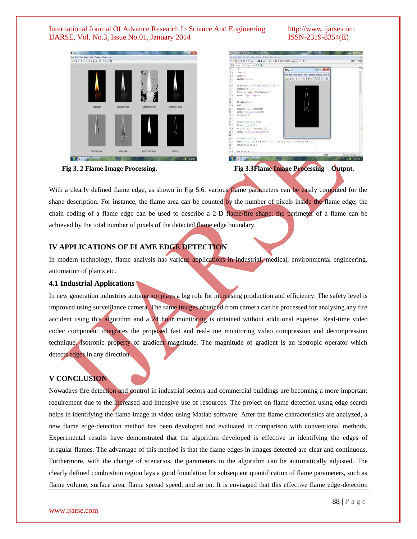



| File Edit Text Go Cell Tools Debug Desidop Window Help<br>□改圖 3 马路ウで 高空· 再中央内 图 · 日和清阳图图图 Stack Roo · 内 |                                                                           |                                                   | <b>BOB PO</b>    |
|---------------------------------------------------------------------------------------------------------|---------------------------------------------------------------------------|---------------------------------------------------|------------------|
|                                                                                                         |                                                                           |                                                   |                  |
| 旧语                                                                                                      | $-10$ + + 11 × 25 × 0                                                     |                                                   |                  |
| $1 -$                                                                                                   | clc                                                                       | $= 0 x$<br>Figure 2                               |                  |
| $2 -$                                                                                                   | clear all                                                                 | File Edit View Insert Tools Desidop Window Help > |                  |
| $3 -$                                                                                                   | close all                                                                 |                                                   |                  |
| $4 -$                                                                                                   | warning off all                                                           | Deus IS Sope 4 G DB = D                           |                  |
| $5 -$                                                                                                   |                                                                           |                                                   |                  |
| $6 -$                                                                                                   | (f p]=uigetfile('*.jpg','select image');                                  |                                                   |                  |
| $7 -$                                                                                                   | I=inread([p f]);                                                          |                                                   |                  |
| $8 -$                                                                                                   | figure (1), subplot (2, 4, 1), inshow (1);                                |                                                   |                  |
| $9 -$                                                                                                   | xlabel('Input Image');                                                    |                                                   |                  |
| 10                                                                                                      |                                                                           |                                                   |                  |
| $11 -$                                                                                                  | Fl-rob2vcbcr(I);                                                          |                                                   |                  |
| $12 -$                                                                                                  | $F = F1$ (;,;,1);                                                         |                                                   |                  |
| $13 -$                                                                                                  | subplot (2, 4, 2), inshow (F) ;                                           |                                                   |                  |
| $14 -$                                                                                                  | xlabel('luminance image');                                                |                                                   |                  |
| $15 -$                                                                                                  | $[n,n]=size(F)$ ;                                                         |                                                   |                  |
| 16                                                                                                      |                                                                           |                                                   |                  |
| 17                                                                                                      | %1.adjusting gray level                                                   |                                                   |                  |
| $18 -$                                                                                                  | Iad=adjust gray(F);                                                       |                                                   |                  |
| $19 -$                                                                                                  | subplot (2, 4, 3), inshow (Iad, []);                                      |                                                   |                  |
| $20 -$                                                                                                  | xlabel('adjusting gray level');                                           |                                                   |                  |
| 21                                                                                                      |                                                                           |                                                   |                  |
| $22^{\circ}$                                                                                            | %2.image smoothing                                                        |                                                   |                  |
| $23 -$                                                                                                  | mask=(1/115).*((2 4 5 4 2:4 9 12 9 4:5 12 15 12 5:4 9 12 9 4:2 4 5 4 21); |                                                   |                  |
| $24 -$                                                                                                  | (ml.nl)-size(mask);                                                       |                                                   |                  |
| 25                                                                                                      |                                                                           |                                                   |                  |
|                                                                                                         | $26  \sqrt{6r} i = 1m - (m1 - 1)$                                         |                                                   |                  |
|                                                                                                         |                                                                           | script                                            | Ln 18 Col 20 OVR |

 **Fig 3. 2 Flame Image Processing. Fig 3.3Flame Image Processing – Output.**

With a clearly defined flame edge, as shown in Fig 5.6, various flame parameters can be easily computed for the shape description. For instance, the flame area can be counted by the number of pixels inside the flame edge; the chain coding of a flame edge can be used to describe a 2-D flame/fire shape; the perimeter of a flame can be achieved by the total number of pixels of the detected flame edge boundary.

### **IV APPLICATIONS OF FLAME EDGE DETECTION**

In modern technology, flame analysis has various applications in industrial, medical, environmental engineering, automation of plants etc.

#### **4.1 Industrial Applications**

In new generation industries automation plays a big role for increasing production and efficiency. The safety level is improved using surveillance camera. The same images obtained from camera can be processed for analysing any fire accident using this algorithm and a 24 hour monitoring is obtained without additional expense. Real-time video codec component integrates the proposed fast and real-time monitoring video compression and decompression technique. Isotropic property of gradient magnitude. The magnitude of gradient is an isotropic operator which detects edges in any direction.

### **V CONCLUSION**

Nowadays fire detection and control in industrial sectors and commercial buildings are becoming a more important requirement due to the increased and intensive use of resources. The project on flame detection using edge search helps in identifying the flame image in video using Matlab software. After the flame characteristics are analyzed, a new flame edge-detection method has been developed and evaluated in comparison with conventional methods. Experimental results have demonstrated that the algorithm developed is effective in identifying the edges of irregular flames. The advantage of this method is that the flame edges in images detected are clear and continuous. Furthermore, with the change of scenarios, the parameters in the algorithm can be automatically adjusted. The clearly defined combustion region lays a good foundation for subsequent quantification of flame parameters, such as flame volume, surface area, flame spread speed, and so on. It is envisaged that this effective flame edge-detection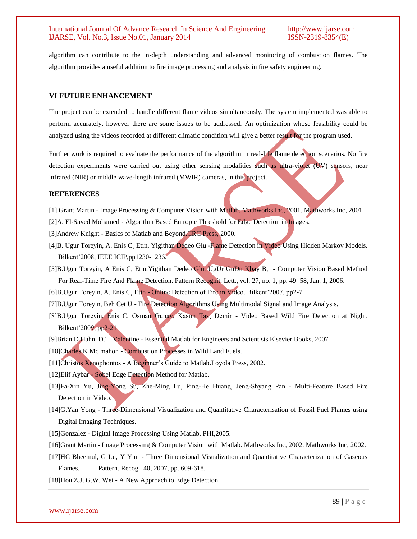algorithm can contribute to the in-depth understanding and advanced monitoring of combustion flames. The algorithm provides a useful addition to fire image processing and analysis in fire safety engineering.

#### **VI FUTURE ENHANCEMENT**

The project can be extended to handle different flame videos simultaneously. The system implemented was able to perform accurately, however there are some issues to be addressed. An optimization whose feasibility could be analyzed using the videos recorded at different climatic condition will give a better result for the program used.

Further work is required to evaluate the performance of the algorithm in real-life flame detection scenarios. No fire detection experiments were carried out using other sensing modalities such as ultra-violet (UV) sensors, near infrared (NIR) or middle wave-length infrared (MWIR) cameras, in this project.

#### **REFERENCES**

- [1] Grant Martin Image Processing & Computer Vision with Matlab. Mathworks Inc, 2001. Mathworks Inc, 2001.
- [2]A. El-Sayed Mohamed Algorithm Based Entropic Threshold for Edge Detection in Images.
- [3]Andrew Knight Basics of Matlab and Beyond.CRC Press, 2000.
- [4]B. Ugur Toreyin, A. Enis C¸ Etin, Yigithan Dedeo Glu -Flame Detection in Video Using Hidden Markov Models. Bilkent'2008, IEEE ICIP,pp1230-1236.
- [5]B.Ugur Toreyin, A Enis C, Etin,Yigithan Dedeo Glu, UgUr GuDu Kbay B, Computer Vision Based Method For Real-Time Fire And Flame Detection. Pattern Recognit. Lett., vol. 27, no. 1, pp. 49–58, Jan. 1, 2006.
- [6]B.Ugur Toreyin, A. Enis C¸ Etin Online Detection of Fire in Video. Bilkent'2007, pp2-7.
- [7]B.Ugur Toreyin, Beh Cet U Fire Detection Algorithms Using Multimodal Signal and Image Analysis.
- [8]B.Ugur Toreyin, Enis C, Osman Gunay, Kasım Tas¸ Demir Video Based Wild Fire Detection at Night. Bilkent'2009, pp2-21
- [9]Brian D.Hahn, D.T. Valentine Essential Matlab for Engineers and Scientists.Elsevier Books, 2007
- [10]Charles K Mc mahon Combustion Processes in Wild Land Fuels.
- [11]Christos Xenophontos A Beginner's Guide to Matlab.Loyola Press, 2002.
- [12]Elif Aybar Sobel Edge Detection Method for Matlab.
- [13]Fa-Xin Yu, Jing-Yong Su, Zhe-Ming Lu, Ping-He Huang, Jeng-Shyang Pan Multi-Feature Based Fire Detection in Video.
- [14]G.Yan Yong Three-Dimensional Visualization and Quantitative Characterisation of Fossil Fuel Flames using Digital Imaging Techniques.
- [15]Gonzalez Digital Image Processing Using Matlab. PHI,2005.
- [16]Grant Martin Image Processing & Computer Vision with Matlab. Mathworks Inc, 2002. Mathworks Inc, 2002.
- [17]HC Bheemul, G Lu, Y Yan Three Dimensional Visualization and Quantitative Characterization of Gaseous Flames. Pattern. Recog., 40, 2007, pp. 609-618.
- [18]Hou.Z.J, G.W. Wei A New Approach to Edge Detection.